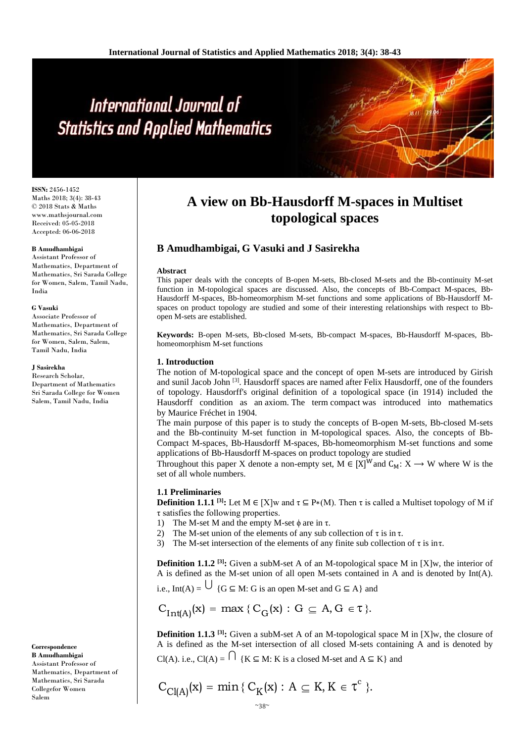# International Journal of **Statistics and Applied Mathematics**

**ISSN:** 2456-1452 Maths 2018; 3(4): 38-43 © 2018 Stats & Maths www.mathsjournal.com Received: 05-05-2018 Accepted: 06-06-2018

#### **B Amudhambigai**

Assistant Professor of Mathematics, Department of Mathematics, Sri Sarada College for Women, Salem, Tamil Nadu, India

#### **G Vasuki**

Associate Professor of Mathematics, Department of Mathematics, Sri Sarada College for Women, Salem, Salem, Tamil Nadu, India

#### **J Sasirekha**

Research Scholar, Department of Mathematics Sri Sarada College for Women Salem, Tamil Nadu, India

**Correspondence B Amudhambigai** Assistant Professor of Mathematics, Department of Mathematics, Sri Sarada Collegefor Women

Salem

# **A view on Bb-Hausdorff M-spaces in Multiset topological spaces**

# **B Amudhambigai, G Vasuki and J Sasirekha**

#### **Abstract**

This paper deals with the concepts of B-open M-sets, Bb-closed M-sets and the Bb-continuity M-set function in M-topological spaces are discussed. Also, the concepts of Bb-Compact M-spaces, Bb-Hausdorff M-spaces, Bb-homeomorphism M-set functions and some applications of Bb-Hausdorff Mspaces on product topology are studied and some of their interesting relationships with respect to Bbopen M-sets are established.

**Keywords:** B-open M-sets, Bb-closed M-sets, Bb-compact M-spaces, Bb-Hausdorff M-spaces, Bbhomeomorphism M-set functions

### **1. Introduction**

The notion of M-topological space and the concept of open M-sets are introduced by Girish and sunil Jacob John <sup>[3]</sup>. Hausdorff spaces are named after [Felix Hausdorff,](https://en.wikipedia.org/wiki/Felix_Hausdorff) one of the founders of topology. Hausdorff's original definition of a topological space (in 1914) included the Hausdorff condition as an [axiom.](https://en.wikipedia.org/wiki/Axiom) The term compact was introduced into mathematics by [Maurice Fréchet](https://en.wikipedia.org/wiki/Maurice_Fr%C3%A9chet) in 1904.

The main purpose of this paper is to study the concepts of B-open M-sets, Bb-closed M-sets and the Bb-continuity M-set function in M-topological spaces. Also, the concepts of Bb-Compact M-spaces, Bb-Hausdorff M-spaces, Bb-homeomorphism M-set functions and some applications of Bb-Hausdorff M-spaces on product topology are studied

Throughout this paper X denote a non-empty set,  $M \in [X]^W$  and  $C_M: X \to W$  where W is the set of all whole numbers.

#### **1.1 Preliminaries**

**Definition 1.1.1** <sup>[3]</sup>**:** Let  $M \in [X]$ w and  $\tau \subseteq P*(M)$ . Then  $\tau$  is called a Multiset topology of M if τ satisfies the following properties.

- 1) The M-set M and the empty M-set  $\phi$  are in  $\tau$ .
- 2) The M-set union of the elements of any sub collection of  $\tau$  is in  $\tau$ .
- 3) The M-set intersection of the elements of any finite sub collection of  $\tau$  is in $\tau$ .

**Definition 1.1.2** <sup>[3]</sup>**:** Given a subM-set A of an M-topological space M in [X]w, the interior of A is defined as the M-set union of all open M-sets contained in A and is denoted by Int(A).

i.e., Int(A) =  $\bigcup$  {G  $\subseteq$  M: G is an open M-set and G  $\subseteq$  A} and

$$
C_{Int(A)}(x) = \max \{ C_G(x) : G \subseteq A, G \in \tau \}.
$$

**Definition 1.1.3** <sup>[3]</sup>**:** Given a subM-set A of an M-topological space M in [X]w, the closure of A is defined as the M-set intersection of all closed M-sets containing A and is denoted by

Cl(A). i.e., Cl(A) =  $\bigcap$  {K  $\subseteq$  M: K is a closed M-set and A  $\subseteq$  K} and

$$
C_{Cl(A)}(x)=\text{min}\,\{\,C_K(x):\,A\subseteq K,\,K\in\tau^c\,\,\}.
$$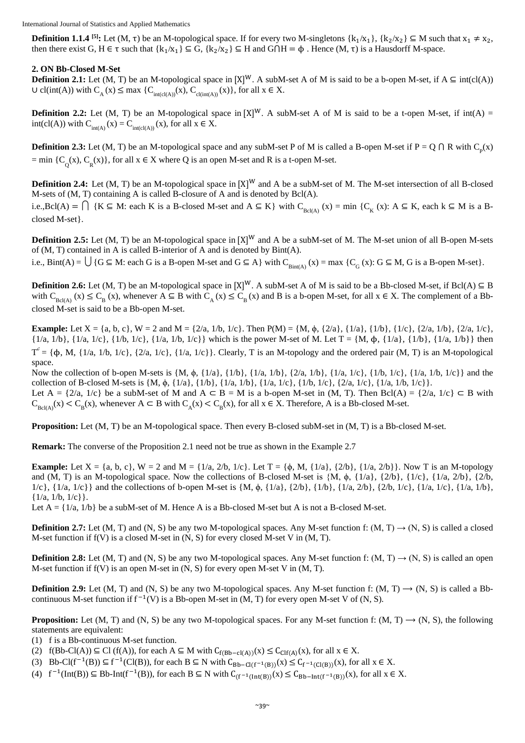**Definition 1.1.4 <sup>[5]</sup>**: Let (M,  $\tau$ ) be an M-topological space. If for every two M-singletons  $\{k_1/x_1\}$ ,  $\{k_2/x_2\} \subseteq M$  such that  $x_1 \neq x_2$ , then there exist G,  $H \in \tau$  such that  $\{k_1/x_1\} \subseteq G$ ,  $\{k_2/x_2\} \subseteq H$  and  $G \cap H = \phi$ . Hence  $(M, \tau)$  is a Hausdorff M-space.

#### **2. ON Bb-Closed M-Set**

**Definition 2.1:** Let (M, T) be an M-topological space in  $[X]^W$ . A subM-set A of M is said to be a b-open M-set, if A ⊆ int(cl(A))  $\cup$  cl(int(A)) with  $C_A(x) \leq max \{C_{int(cl(A))}(x), C_{cl(int(A))}(x)\}$ , for all  $x \in X$ .

**Definition 2.2:** Let  $(M, T)$  be an M-topological space in  $[X]^W$ . A subM-set A of M is said to be a t-open M-set, if  $int(A) =$ int(cl(A)) with  $C_{int(A)}(x) = C_{int(cl(A))}(x)$ , for all  $x \in X$ .

**Definition 2.3:** Let  $(M, T)$  be an M-topological space and any subM-set P of M is called a B-open M-set if  $P = Q \cap R$  with  $C_p(x)$ = min { $C_Q(x)$ ,  $C_R(x)$ }, for all  $x \in X$  where Q is an open M-set and R is a t-open M-set.

**Definition 2.4:** Let  $(M, T)$  be an M-topological space in  $[X]^W$  and A be a subM-set of M. The M-set intersection of all B-closed M-sets of (M, T) containing A is called B-closure of A and is denoted by Bcl(A).

i.e.,Bcl(A) =  $\bigcap$  {K  $\subseteq$  M: each K is a B-closed M-set and A  $\subseteq$  K} with  $C_{Bcl(A)}(x) = \min \{C_K(x): A \subseteq K,$  each  $k \subseteq M$  is a Bclosed M-set}.

**Definition 2.5:** Let  $(M, T)$  be an M-topological space in  $[X]^W$  and A be a subM-set of M. The M-set union of all B-open M-sets of (M, T) contained in A is called B-interior of A and is denoted by Bint(A).

i.e., Bint(A) =  $\bigcup$  {G  $\subseteq$  M: each G is a B-open M-set and G  $\subseteq$  A} with C<sub>Bint(A)</sub> (x) = max {C<sub>G</sub> (x): G  $\subseteq$  M, G is a B-open M-set}.

**Definition 2.6:** Let (M, T) be an M-topological space in  $[X]^W$ . A subM-set A of M is said to be a Bb-closed M-set, if Bcl(A) ⊆ B with  $C_{Bcl(A)}(x) \leq C_{B}(x)$ , whenever  $A \subseteq B$  with  $C_{A}(x) \leq C_{B}(x)$  and B is a b-open M-set, for all  $x \in X$ . The complement of a Bbclosed M-set is said to be a Bb-open M-set.

**Example:** Let  $X = \{a, b, c\}$ ,  $W = 2$  and  $M = \{2/a, 1/b, 1/c\}$ . Then  $P(M) = \{M, \phi, \{2/a\}, \{1/a\}, \{1/b\}, \{1/c\}, \{2/a, 1/b\}, \{2/a, 1/c\}$ ,  $\{1/a, 1/b\}, \{1/a, 1/c\}, \{1/b, 1/c\}, \{1/a, 1/b\}, \{1/a, 1/b\}$  then  $T^c = {\phi, M, {1/a, 1/b, 1/c}, {2/a, 1/c}, {1/a, 1/c}}$ . Clearly, T is an M-topology and the ordered pair (M, T) is an M-topological space.

Now the collection of b-open M-sets is  $\{M, \phi, \{1/a\}, \{1/b\}, \{1/a, 1/b\}, \{2/a, 1/b\}, \{1/a, 1/c\}, \{1/b, 1/c\}, \{1/a, 1/b, 1/c\}\}\$  and the collection of B-closed M-sets is  $\{M, \phi, \{1/a\}, \{1/b\}, \{1/a, 1/b\}, \{1/a, 1/c\}, \{1/b, 1/c\}, \{2/a, 1/c\}, \{1/a, 1/b, 1/c\}.$ Let  $A = \{2/a, 1/c\}$  be a subM-set of M and  $A \subseteq B = M$  is a b-open M-set in  $(M, T)$ . Then  $Bel(A) = \{2/a, 1/c\} \subseteq B$  with  $C_{BCl(A)}(x) < C_{B}(x)$ , whenever  $A \subset B$  with  $C_{A}(x) < C_{B}(x)$ , for all  $x \in X$ . Therefore, A is a Bb-closed M-set.

**Proposition:** Let (M, T) be an M-topological space. Then every B-closed subM-set in (M, T) is a Bb-closed M-set.

**Remark:** The converse of the Proposition 2.1 need not be true as shown in the Example 2.7

**Example:** Let  $X = \{a, b, c\}$ ,  $W = 2$  and  $M = \{1/a, 2/b, 1/c\}$ . Let  $T = \{\phi, M, \{1/a\}, \{2/b\}, \{1/a, 2/b\}\}$ . Now T is an M-topology and (M, T) is an M-topological space. Now the collections of B-closed M-set is  $\{M, \phi, \{1/a\}, \{2/b\}, \{1/c\}, \{1/a, 2/b\}, \{2/b, 2/b\}$ 1/c}, {1/a, 1/c}} and the collections of b-open M-set is {M, ϕ, {1/a}, {2/b}, {1/b}, {1/a, 2/b}, {2/b, 1/c}, {1/a, 1/c}, {1/a, 1/b},  $\{1/a, 1/b, 1/c\}$ .

Let  $A = \{1/a, 1/b\}$  be a subM-set of M. Hence A is a Bb-closed M-set but A is not a B-closed M-set.

**Definition 2.7:** Let (M, T) and (N, S) be any two M-topological spaces. Any M-set function f: (M, T)  $\rightarrow$  (N, S) is called a closed M-set function if f(V) is a closed M-set in (N, S) for every closed M-set V in (M, T).

**Definition 2.8:** Let (M, T) and (N, S) be any two M-topological spaces. Any M-set function f: (M, T)  $\rightarrow$  (N, S) is called an open M-set function if  $f(V)$  is an open M-set in  $(N, S)$  for every open M-set V in  $(M, T)$ .

**Definition 2.9:** Let (M, T) and (N, S) be any two M-topological spaces. Any M-set function f: (M, T)  $\rightarrow$  (N, S) is called a Bbcontinuous M-set function if  $f^{-1}(V)$  is a Bb-open M-set in  $(M, T)$  for every open M-set V of  $(N, S)$ .

**Proposition:** Let (M, T) and (N, S) be any two M-topological spaces. For any M-set function f: (M, T)  $\rightarrow$  (N, S), the following statements are equivalent:

- (1) f is a Bb-continuous M-set function.
- (2)  $f(Bb-Cl(A)) \subseteq Cl(f(A))$ , for each  $A \subseteq M$  with  $C_{f(Bb-cl(A))}(x) \leq C_{Clf(A)}(x)$ , for all  $x \in X$ .
- (3) Bb-Cl(f<sup>-1</sup>(B))  $\subseteq$  f<sup>-1</sup>(Cl(B)), for each B  $\subseteq$  N with  $C_{Bb-Cl(f^{-1}(B))}(x) \le C_f^{-1}$ <sub>(Cl(B))</sub>(x), for all  $x \in X$ .
- (4)  $f^{-1}(\text{Int}(B)) \subseteq Bb-\text{Int}(f^{-1}(B))$ , for each  $B \subseteq N$  with  $C_{(f^{-1}(\text{Int}(B))}(x) \leq C_{Bb-\text{Int}(f^{-1}(B))}(x)$ , for all  $x \in X$ .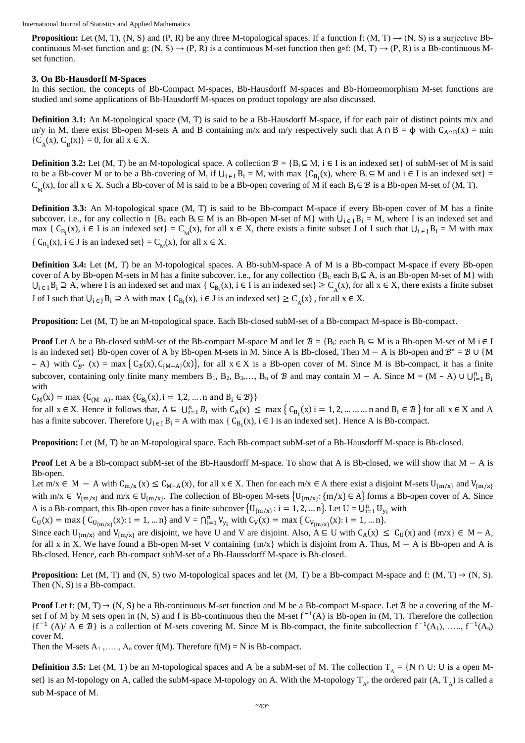**Proposition:** Let  $(M, T)$ ,  $(N, S)$  and  $(P, R)$  be any three M-topological spaces. If a function f:  $(M, T) \rightarrow (N, S)$  is a surjective Bbcontinuous M-set function and g:  $(N, S) \rightarrow (P, R)$  is a continuous M-set function then g∘f:  $(M, T) \rightarrow (P, R)$  is a Bb-continuous Mset function.

#### **3. On Bb-Hausdorff M-Spaces**

In this section, the concepts of Bb-Compact M-spaces, Bb-Hausdorff M-spaces and Bb-Homeomorphism M-set functions are studied and some applications of Bb-Hausdorff M-spaces on product topology are also discussed.

**Definition 3.1:** An M-topological space (M, T) is said to be a Bb-Hausdorff M-space, if for each pair of distinct points m/x and m/y in M, there exist Bb-open M-sets A and B containing m/x and m/y respectively such that  $A \cap B = \phi$  with  $C_{A \cap B}(x) = \min$  ${C_A(x), C_B(x)} = 0$ , for all  $x \in X$ .

**Definition 3.2:** Let (M, T) be an M-topological space. A collection  $\mathcal{B} = \{B_i \subseteq M, i \in I \text{ is an indexed set}\}\$  of subM-set of M is said to be a Bb-cover M or to be a Bb-covering of M, if  $\bigcup_{i \in I} B_i = M$ , with max  $\{C_{B_i}(x),$  where  $B_i \subseteq M$  and  $i \in I$  is an indexed set $\}$ C<sub>M</sub>(x), for all x ∈ X. Such a Bb-cover of M is said to be a Bb-open covering of M if each B<sub>i</sub> ∈  $\mathcal B$  is a Bb-open M-set of (M, T).

**Definition 3.3:** An M-topological space (M, T) is said to be Bb-compact M-space if every Bb-open cover of M has a finite subcover. i.e., for any collectio n {B<sub>i:</sub> each B<sub>i</sub>  $\subseteq M$  is an Bb-open M-set of M} with  $\bigcup_{i \in I} B_i = M$ , where I is an indexed set and max {  $C_{B_i}(x)$ , i  $\in I$  is an indexed set} =  $C_M(x)$ , for all  $x \in X$ , there exists a finite subset J of I such that  $U_i \in J B_i = M$  with max {  $C_{B_i}(x)$ ,  $i \in J$  is an indexed set} =  $C_M(x)$ , for all  $x \in X$ .

**Definition 3.4:** Let (M, T) be an M-topological spaces. A Bb-subM-space A of M is a Bb-compact M-space if every Bb-open cover of A by Bb-open M-sets in M has a finite subcover. i.e., for any collection  ${B_i \subseteq A}$ , is an Bb-open M-set of M with  $\bigcup_{i \in I} B_i \supseteq A$ , where I is an indexed set and max {  $C_{B_i}(x)$ ,  $i \in I$  is an indexed set}  $\geq C_A(x)$ , for all  $x \in X$ , there exists a finite subset J of I such that  $\bigcup_{i \in J} B_i \supseteq A$  with max  $\{ C_{B_i}(x), i \in J \text{ is an indexed set} \} \geq C_A(x)$ , for all  $x \in X$ .

**Proposition:** Let (M, T) be an M-topological space. Each Bb-closed subM-set of a Bb-compact M-space is Bb-compact.

**Proof** Let A be a Bb-closed subM-set of the Bb-compact M-space M and let  $\mathcal{B} = \{B_i : each B_i \subseteq M \text{ is a } B$ -open M-set of M i  $\in I$ is an indexed set} Bb-open cover of A by Bb-open M-sets in M. Since A is Bb-closed, Then  $M - A$  is Bb-open and  $B^* = B \cup \{M\}$  $- A$ } with  $C'_{\mathcal{B}^*}$  (x) = max {  $C_{\mathcal{B}}(x)$ ,  $C_{\{M-A\}}(x)$ }, for all  $x \in X$  is a Bb-open cover of M. Since M is Bb-compact, it has a finite subcover, containing only finite many members B<sub>1</sub>, B<sub>2</sub>, B<sub>3</sub>,..., B<sub>n</sub> of  $B$  and may contain M – A. Since M = (M – A) ∪ U<sup>n</sup><sub>i=1</sub> B<sub>i</sub> with

 $C_M(x) = \max \{ C_{(M-A)}, \max \{ C_{B_i}(x), i = 1, 2, \dots \text{ and } B_i \in \mathcal{B} \} \}$ 

for all  $x \in X$ . Hence it follows that,  $A \subseteq \bigcup_{i=1}^{n} B_i$  with  $C_A(x) \le \max\left\{C_{B_i}(x) \mid i = 1, 2, \dots \dots \dots \text{ n and } B_i \in \mathcal{B} \right\}$  for all  $x \in X$  and A has a finite subcover. Therefore  $U_{i \in I} B_i = A$  with max {  $C_{B_i}(x)$ ,  $i \in I$  is an indexed set}. Hence A is Bb-compact.

**Proposition:** Let (M, T) be an M-topological space. Each Bb-compact subM-set of a Bb-Hausdorff M-space is Bb-closed.

**Proof** Let A be a Bb-compact subM-set of the Bb-Hausdorff M-space. To show that A is Bb-closed, we will show that M − A is Bb-open.

Let m/x  $\in$  M – A with  $C_{m/x}$  (x)  $\leq C_{M-A}(x)$ , for all  $x \in X$ . Then for each m/x  $\in$  A there exist a disjoint M-sets  $U_{\{m/x\}}$  and  $V_{\{m/x\}}$ with m/x  $\in V_{\{m/x\}}$  and m/x  $\in U_{\{m/x\}}$ . The collection of Bb-open M-sets  $\{U_{\{m/x\}}: \{m/x\} \in A\}$  forms a Bb-open cover of A. Since A is a Bb-compact, this Bb-open cover has a finite subcover  $\{U_{\{m/x\}}: i = 1, 2, ..., n\}$ . Let  $U = U_{i=1}^n U_{y_i}$  with

 $C_U(x) = \max\{C_{U_{\{m/x\}}}(x): i = 1, ... n\}$  and  $V = \bigcap_{i=1}^n V_{y_i}$  with  $C_V(x) = \max\{C_{V_{\{m/x\}}}(x): i = 1, ... n\}$ . Since each  $U_{\{m/x\}}$  and  $V_{\{m/x\}}$  are disjoint, we have U and V are disjoint. Also,  $A \subseteq U$  with  $C_A(x) \leq C_U(x)$  and  $\{m/x\} \in M - A$ ,

for all x in X. We have found a Bb-open M-set V containing  ${m \times}$  which is disjoint from A. Thus, M – A is Bb-open and A is Bb-closed. Hence, each Bb-compact subM-set of a Bb-Haussdorff M-space is Bb-closed.

**Proposition:** Let  $(M, T)$  and  $(N, S)$  two M-topological spaces and let  $(M, T)$  be a Bb-compact M-space and f:  $(M, T) \rightarrow (N, S)$ . Then (N, S) is a Bb-compact.

**Proof** Let f:  $(M, T) \rightarrow (N, S)$  be a Bb-continuous M-set function and M be a Bb-compact M-space. Let  $B$  be a covering of the Mset f of M by M sets open in  $(N, S)$  and f is Bb-continuous then the M-set  $f^{-1}(A)$  is Bb-open in  $(M, T)$ . Therefore the collection  ${f^{-1}(A) \land A \in \mathcal{B}}$  is a collection of M-sets covering M. Since M is Bb-compact, the finite subcollection  $f^{-1}(A_1), \ldots, f^{-1}(A_n)$ cover M.

Then the M-sets  $A_1$ ,...,  $A_n$  cover  $f(M)$ . Therefore  $f(M) = N$  is Bb-compact.

**Definition 3.5:** Let (M, T) be an M-topological spaces and A be a subM-set of M. The collection  $T_A = \{N \cap U : U$  is a open Mset} is an M-topology on A, called the subM-space M-topology on A. With the M-topology  $T_A$ , the ordered pair  $(A, T_A)$  is called a sub M-space of M.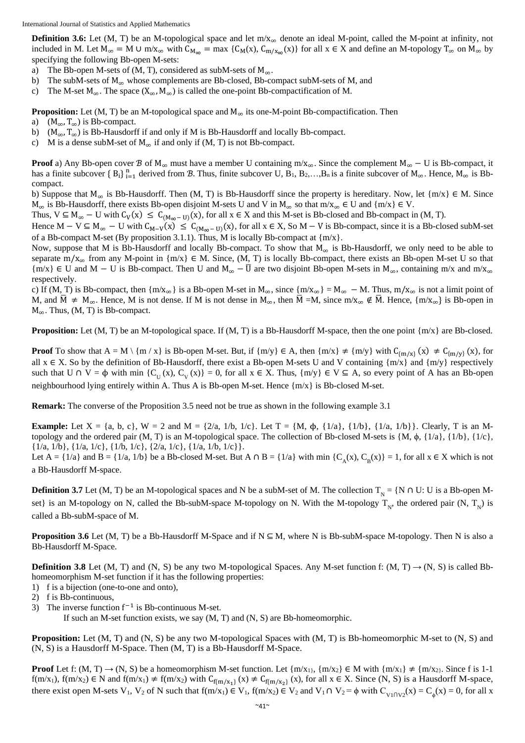International Journal of Statistics and Applied Mathematics

**Definition 3.6:** Let (M, T) be an M-topological space and let  $m/x_\infty$  denote an ideal M-point, called the M-point at infinity, not included in M. Let  $M_{\infty} = M \cup m/x_{\infty}$  with  $C_{M_{\infty}} = \max \{C_M(x), C_{m/x_{\infty}}(x)\}\$ for all  $x \in X$  and define an M-topology  $T_{\infty}$  on  $M_{\infty}$  by specifying the following Bb-open M-sets:

- a) The Bb-open M-sets of (M, T), considered as subM-sets of  $M_{\infty}$ .
- b) The subM-sets of  $M_{\infty}$  whose complements are Bb-closed, Bb-compact subM-sets of M, and
- c) The M-set  $M_{\infty}$ . The space ( $X_{\infty}$ ,  $M_{\infty}$ ) is called the one-point Bb-compactification of M.

**Proposition:** Let  $(M, T)$  be an M-topological space and  $M_{\infty}$  its one-M-point Bb-compactification. Then

- a)  $(M<sub>∞</sub>, T<sub>∞</sub>)$  is Bb-compact.
- b)  $(M_{\infty}, T_{\infty})$  is Bb-Hausdorff if and only if M is Bb-Hausdorff and locally Bb-compact.
- c) M is a dense subM-set of  $M_{\infty}$  if and only if (M, T) is not Bb-compact.

**Proof** a) Any Bb-open cover  $\mathcal{B}$  of  $M_{\infty}$  must have a member U containing m/x<sub>∞</sub>. Since the complement  $M_{\infty} - U$  is Bb-compact, it has a finite subcover  ${B_i}_{i=1}^n$  derived from  $\mathcal{B}$ . Thus, finite subcover U,  $B_1, B_2,...,B_n$  is a finite subcover of  $M_\infty$ . Hence,  $M_\infty$  is Bbcompact.

b) Suppose that  $M_{\infty}$  is Bb-Hausdorff. Then (M, T) is Bb-Hausdorff since the property is hereditary. Now, let  $\{m/x\} \in M$ . Since  $M_{\infty}$  is Bb-Hausdorff, there exists Bb-open disjoint M-sets U and V in  $M_{\infty}$  so that m/x<sub>∞</sub> ∈ U and {m/x} ∈ V.

Thus,  $V \subseteq M_\infty - U$  with  $C_V(x) \le C_{(M_\infty - U)}(x)$ , for all  $x \in X$  and this M-set is Bb-closed and Bb-compact in  $(M, T)$ .

Hence  $M - V \subseteq M_{\infty} - U$  with  $C_{M-V}(x) \le C_{(M_{\infty}-U)}(x)$ , for all  $x \in X$ , So  $M - V$  is Bb-compact, since it is a Bb-closed subM-set of a Bb-compact M-set (By proposition 3.1.1). Thus, M is locally Bb-compact at  $\{m/x\}$ .

Now, suppose that M is Bb-Hausdorff and locally Bb-compact. To show that  $M_{\infty}$  is Bb-Hausdorff, we only need to be able to separate m/x<sub>∞</sub> from any M-point in  $\{m/x\} \in M$ . Since,  $(M, T)$  is locally Bb-compact, there exists an Bb-open M-set U so that  ${m \times} \in U$  and M – U is Bb-compact. Then U and M<sub>∞</sub> –  $\overline{U}$  are two disjoint Bb-open M-sets in M<sub>∞</sub>, containing m/x and m/x<sub>∞</sub> respectively.

c) If (M, T) is Bb-compact, then  ${m/x_\infty}$  is a Bb-open M-set in  $M_\infty$ , since  ${m/x_\infty} = M_\infty - M$ . Thus,  ${m/x_\infty}$  is not a limit point of M, and  $\overline{M}$  ≠ M<sub>∞</sub>. Hence, M is not dense. If M is not dense in M<sub>∞</sub>, then  $\overline{M}$  =M, since m/x<sub>∞</sub> ∉  $\overline{M}$ . Hence, {m/x<sub>∞</sub>} is Bb-open in  $M_{\infty}$ . Thus, (M, T) is Bb-compact.

**Proposition:** Let (M, T) be an M-topological space. If (M, T) is a Bb-Hausdorff M-space, then the one point {m/x} are Bb-closed.

**Proof** To show that  $A = M \setminus \{m \mid x\}$  is Bb-open M-set. But, if  $\{m/y\} \in A$ , then  $\{m/x\} \neq \{m/y\}$  with  $C_{\{m/x\}}(x) \neq C_{\{m/y\}}(x)$ , for all  $x \in X$ . So by the definition of Bb-Hausdorff, there exist a Bb-open M-sets U and V containing  $\{m/x\}$  and  $\{m/y\}$  respectively such that  $U \cap V = \phi$  with min  $\{C_{\text{U}}(x), C_{\text{V}}(x)\} = 0$ , for all  $x \in X$ . Thus,  $\{m/y\} \in V \subseteq A$ , so every point of A has an Bb-open neighbourhood lying entirely within A. Thus A is Bb-open M-set. Hence  ${m}{\times}$  is Bb-closed M-set.

**Remark:** The converse of the Proposition 3.5 need not be true as shown in the following example 3.1

**Example:** Let  $X = \{a, b, c\}$ ,  $W = 2$  and  $M = \{2/a, 1/b, 1/c\}$ . Let  $T = \{M, \phi, \{1/a\}, \{1/b\}, \{1/a, 1/b\}\}$ . Clearly, T is an Mtopology and the ordered pair (M, T) is an M-topological space. The collection of Bb-closed M-sets is  $\{M, \phi, \{1/a\}, \{1/b\}, \{1/c\},\$ {1/a, 1/b}, {1/a, 1/c}, {1/b, 1/c}, {2/a, 1/c}, {1/a, 1/b, 1/c}}.

Let  $A = \{1/a\}$  and  $B = \{1/a, 1/b\}$  be a Bb-closed M-set. But  $A \cap B = \{1/a\}$  with min  $\{C_A(x), C_B(x)\} = 1$ , for all  $x \in X$  which is not a Bb-Hausdorff M-space.

**Definition 3.7** Let (M, T) be an M-topological spaces and N be a subM-set of M. The collection  $T_N = \{N \cap U : U$  is a Bb-open Mset} is an M-topology on N, called the Bb-subM-space M-topology on N. With the M-topology  $T_N$ , the ordered pair  $(N, T_N)$  is called a Bb-subM-space of M.

**Proposition 3.6** Let  $(M, T)$  be a Bb-Hausdorff M-Space and if  $N \subseteq M$ , where N is Bb-subM-space M-topology. Then N is also a Bb-Hausdorff M-Space.

**Definition 3.8** Let (M, T) and (N, S) be any two M-topological Spaces. Any M-set [function](https://en.wikipedia.org/wiki/Function_(mathematics)) f: (M, T)  $\rightarrow$  (N, S) is called Bbhomeomorphism M-set function if it has the following properties:

- 1) f is a [bijection](https://en.wikipedia.org/wiki/Bijection) [\(one-to-one](https://en.wikipedia.org/wiki/Injective_function) and [onto\)](https://en.wikipedia.org/wiki/Onto),
- 2) f is Bb[-continuous,](https://en.wikipedia.org/wiki/Continuity_(topology))
- 3) The [inverse function](https://en.wikipedia.org/wiki/Inverse_function)  $f^{-1}$  is Bb-continuous M-set.

If such an M-set function exists, we say (M, T) and (N, S) are Bb-homeomorphic.

**Proposition:** Let  $(M, T)$  and  $(N, S)$  be any two M-topological Spaces with  $(M, T)$  is Bb-homeomorphic M-set to  $(N, S)$  and (N, S) is a Hausdorff M-Space. Then (M, T) is a Bb-Hausdorff M-Space.

**Proof** Let f:  $(M, T) \rightarrow (N, S)$  be a homeomorphism M-set function. Let  $\{m/x_1\}$ ,  $\{m/x_2\} \in M$  with  $\{m/x_1\} \neq \{m/x_2\}$ . Since f is 1-1  $f(m/x_1)$ ,  $f(m/x_2) \in N$  and  $f(m/x_1) \neq f(m/x_2)$  with  $C_{f(m/x_1)}(x) \neq C_{f(m/x_2)}(x)$ , for all  $x \in X$ . Since  $(N, S)$  is a Hausdorff M-space, there exist open M-sets V<sub>1</sub>, V<sub>2</sub> of N such that  $f(m/x_1) \in V_1$ ,  $f(m/x_2) \in V_2$  and V<sub>1</sub>  $\cap V_2 = \phi$  with  $C_{V_1 \cap V_2}(x) = C_{\phi}(x) = 0$ , for all x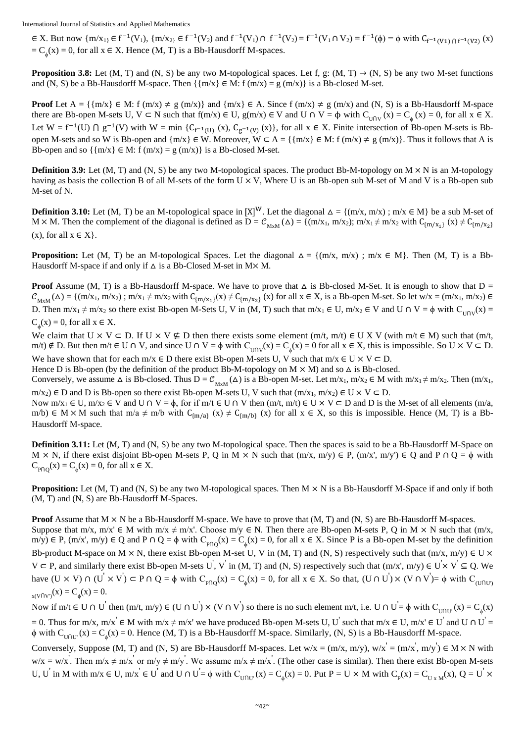∈ X. But now  $\{m/x_1\}$  ∈  $f^{-1}(V_1)$ ,  $\{m/x_2\}$  ∈  $f^{-1}(V_2)$  and  $f^{-1}(V_1) \cap f^{-1}(V_2) = f^{-1}(V_1 \cap V_2) = f^{-1}(\phi) = \phi$  with  $C_{f^{-1}(V_1) \cap f^{-1}(V_2)}(x)$  $=C_{\phi}(x) = 0$ , for all  $x \in X$ . Hence (M, T) is a Bb-Hausdorff M-spaces.

**Proposition 3.8:** Let (M, T) and (N, S) be any two M-topological spaces. Let f, g: (M, T)  $\rightarrow$  (N, S) be any two M-set functions and (N, S) be a Bb-Hausdorff M-space. Then  $\{\{m/x\} \in M: f(m/x) = g(m/x)\}\$ is a Bb-closed M-set.

**Proof** Let  $A = \{ \{m/x \} \in M: f(m/x) \neq g(m/x) \}$  and  $\{m/x \} \in A$ . Since  $f(m/x) \neq g(m/x)$  and  $(N, S)$  is a Bb-Hausdorff M-space there are Bb-open M-sets U,  $V \subset N$  such that  $f(m/x) \in U$ ,  $g(m/x) \in V$  and  $U \cap V = \phi$  with  $C_{U \cap V}(x) = C_{\phi}(x) = 0$ , for all  $x \in X$ . Let  $W = f^{-1}(U) \cap g^{-1}(V)$  with  $W = \min \{C_{f^{-1}(U)}(x), C_{g^{-1}(V)}(x)\}$ , for all  $x \in X$ . Finite intersection of Bb-open M-sets is Bbopen M-sets and so W is Bb-open and  $\{m/x\} \in W$ . Moreover,  $W \subset A = \{\{m/x\} \in M: f(m/x) \neq g(m/x)\}\$ . Thus it follows that A is Bb-open and so  $\{m/x\} \in M$ : f  $(m/x) = g(m/x)$  is a Bb-closed M-set.

**Definition 3.9:** Let  $(M, T)$  and  $(N, S)$  be any two M-topological spaces. The product Bb-M-topology on  $M \times N$  is an M-topology having as basis the collection B of all M-sets of the form  $U \times V$ , Where U is an Bb-open sub M-set of M and V is a Bb-open sub M-set of N.

**Definition 3.10:** Let (M, T) be an M-topological space in  $[X]^W$ . Let the diagonal  $\Delta = \{(m/x, m/x) : m/x \in M\}$  be a sub M-set of M × M. Then the complement of the diagonal is defined as  $D = C_{MxM}(\Delta) = \{(m/x_1, m/x_2); m/x_1 \neq m/x_2 \text{ with } C_{\{m/x_1\}}(x) \neq C_{\{m/x_2\}}\}$  $(x)$ , for all  $x \in X$ .

**Proposition:** Let (M, T) be an M-topological Spaces. Let the diagonal  $\Delta = \{(m/x, m/x) : m/x \in M\}$ . Then (M, T) is a Bb-Hausdorff M-space if and only if  $\Delta$  is a Bb-Closed M-set in M $\times$  M.

**Proof** Assume (M, T) is a Bb-Hausdorff M-space. We have to prove that  $\Delta$  is Bb-closed M-Set. It is enough to show that  $D =$  $\mathcal{C}_{MxM}(\Delta) = \{(m/x_1, m/x_2)$ ;  $m/x_1 \neq m/x_2$  with  $C_{\{m/x_1\}}(x) \neq C_{\{m/x_2\}}(x)$  for all  $x \in X$ , is a Bb-open M-set. So let  $w/x = (m/x_1, m/x_2) \in$ D. Then  $m/x_1 \neq m/x_2$  so there exist Bb-open M-Sets U, V in (M, T) such that  $m/x_1 \in U$ ,  $m/x_2 \in V$  and  $U \cap V = \phi$  with  $C_{U \cap V}(x) =$  $C_{\phi}(x) = 0$ , for all  $x \in X$ .

We claim that  $U \times V \subseteq D$ . If  $U \times V \nsubseteq D$  then there exists some element  $(m/t, m/t) \in U \times V$  (with  $m/t \in M$ ) such that  $(m/t, m/t)$ m/t) ∉ D. But then m/t ∈ U ∩ V, and since U ∩ V =  $\phi$  with C<sub>U∩V</sub>(x) = C<sub> $\phi$ </sub>(x) = 0 for all x ∈ X, this is impossible. So U × V ⊂ D.

We have shown that for each m/x  $\in$  D there exist Bb-open M-sets U, V such that m/x  $\in$  U  $\times$  V  $\subset$  D. Hence D is Bb-open (by the definition of the product Bb-M-topology on  $M \times M$ ) and so  $\Delta$  is Bb-closed.

Conversely, we assume  $\Delta$  is Bb-closed. Thus  $D = C_{MxM}(\Delta)$  is a Bb-open M-set. Let m/x<sub>1</sub>, m/x<sub>2</sub>  $\in M$  with m/x<sub>1</sub>  $\neq$  m/x<sub>2</sub>. Then (m/x<sub>1</sub>,  $m/x_2$ )  $\in$  D and D is Bb-open so there exist Bb-open M-sets U, V such that  $(m/x_1, m/x_2) \in U \times V \subset D$ .

Now  $m/x_1 \in U$ ,  $m/x_2 \in V$  and  $U \cap V = \phi$ , for if  $m/t \in U \cap V$  then  $(m/t, m/t) \in U \times V \subset D$  and D is the M-set of all elements  $(m/a,$ m/b) ∈ M × M such that m/a  $\neq$  m/b with  $C_{\{m/a\}}(x) \neq C_{\{m/b\}}(x)$  for all  $x \in X$ , so this is impossible. Hence (M, T) is a Bb-Hausdorff M-space.

**Definition 3.11:** Let (M, T) and (N, S) be any two M-topological space. Then the spaces is said to be a Bb-Hausdorff M-Space on  $M \times N$ , if there exist disjoint Bb-open M-sets P, Q in M  $\times N$  such that  $(m/x, m/y) \in P$ ,  $(m/x', m/y') \in Q$  and P  $\cap Q = \phi$  with  $C_{p\cap Q}(x) = C_{\phi}(x) = 0$ , for all  $x \in X$ .

**Proposition:** Let  $(M, T)$  and  $(N, S)$  be any two M-topological spaces. Then  $M \times N$  is a Bb-Hausdorff M-Space if and only if both (M, T) and (N, S) are Bb-Hausdorff M-Spaces.

**Proof** Assume that  $M \times N$  be a Bb-Hausdorff M-space. We have to prove that  $(M, T)$  and  $(N, S)$  are Bb-Hausdorff M-spaces. Suppose that m/x, m/x' ∈ M with m/x  $\neq$  m/x'. Choose m/y ∈ N. Then there are Bb-open M-sets P, Q in M  $\times$  N such that (m/x, m/y) ∈ P,  $(m/x', m/y)$  ∈ Q and P ∩ Q =  $\phi$  with C<sub>P∩Q</sub>(x) = C<sub> $\phi$ </sub>(x) = 0, for all x ∈ X. Since P is a Bb-open M-set by the definition Bb-product M-space on M  $\times$  N, there exist Bb-open M-set U, V in (M, T) and (N, S) respectively such that  $(m/x, m/y) \in U \times$  $V \subset P$ , and similarly there exist Bb-open M-sets U', V' in (M, T) and (N, S) respectively such that  $(m/x, m/y) \in U \times V' \subseteq Q$ . We have  $(U \times V) \cap (U' \times V') \subset P \cap Q = \phi$  with  $C_{P \cap Q}(x) = C_{\phi}(x) = 0$ , for all  $x \in X$ . So that,  $(U \cap U') \times (V \cap V') = \phi$  with  $C_{(U \cap U')}$  $x(V \cap V)(x) = C_{\phi}(x) = 0.$ 

Now if  $m/t \in U \cap U'$  then  $(m/t, m/y) \in (U \cap U') \times (V \cap V')$  so there is no such element  $m/t$ , i.e.  $U \cap U' = \phi$  with  $C_{U \cap U'}(x) = C_{\phi}(x)$ = 0. Thus for m/x, m/x<sup>'</sup>  $\in$  M with m/x  $\neq$  m/x' we have produced Bb-open M-sets U, U<sup>'</sup> such that m/x  $\in$  U, m/x'  $\in$  U<sup>'</sup> and U  $\cap$  U<sup>'</sup> =  $\phi$  with  $C_{U\cap U'}(x) = C_{\phi}(x) = 0$ . Hence (M, T) is a Bb-Hausdorff M-space. Similarly, (N, S) is a Bb-Hausdorff M-space.

Conversely, Suppose (M, T) and (N, S) are Bb-Hausdorff M-spaces. Let  $w/x = (m/x, m/y)$ ,  $w/x' = (m/x', m/y') \in M \times N$  with  $w/x = w/x'$ . Then  $m/x \neq m/x'$  or  $m/y \neq m/y'$ . We assume  $m/x \neq m/x'$ . (The other case is similar). Then there exist Bb-open M-sets U, U' in M with m/x  $\in$  U, m/x'  $\in$  U' and U  $\cap$  U'=  $\phi$  with C<sub>UOU'</sub> (x) = C<sub> $\phi$ </sub>(x) = 0. Put P = U  $\times$  M with C<sub>P</sub>(x) = C<sub>U x M</sub>(x), Q = U'  $\times$